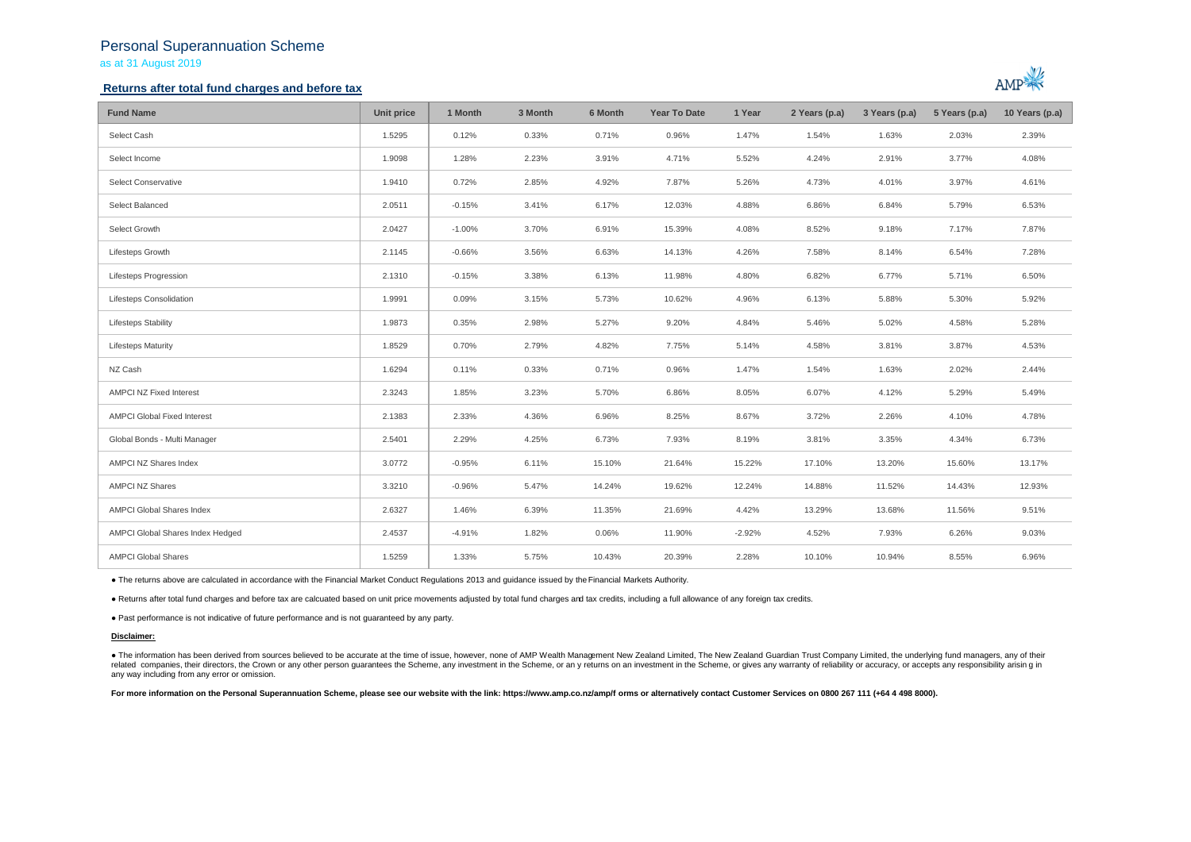## Personal Superannuation Scheme as at 31 August 2019

### **Returns after total fund charges and before tax**



| <b>Fund Name</b>                   | Unit price | 1 Month  | 3 Month | 6 Month | <b>Year To Date</b> | 1 Year   | 2 Years (p.a) | 3 Years (p.a) | 5 Years (p.a) | 10 Years (p.a) |
|------------------------------------|------------|----------|---------|---------|---------------------|----------|---------------|---------------|---------------|----------------|
| Select Cash                        | 1.5295     | 0.12%    | 0.33%   | 0.71%   | 0.96%               | 1.47%    | 1.54%         | 1.63%         | 2.03%         | 2.39%          |
| Select Income                      | 1.9098     | 1.28%    | 2.23%   | 3.91%   | 4.71%               | 5.52%    | 4.24%         | 2.91%         | 3.77%         | 4.08%          |
| Select Conservative                | 1.9410     | 0.72%    | 2.85%   | 4.92%   | 7.87%               | 5.26%    | 4.73%         | 4.01%         | 3.97%         | 4.61%          |
| Select Balanced                    | 2.0511     | $-0.15%$ | 3.41%   | 6.17%   | 12.03%              | 4.88%    | 6.86%         | 6.84%         | 5.79%         | 6.53%          |
| Select Growth                      | 2.0427     | $-1.00%$ | 3.70%   | 6.91%   | 15.39%              | 4.08%    | 8.52%         | 9.18%         | 7.17%         | 7.87%          |
| Lifesteps Growth                   | 2.1145     | $-0.66%$ | 3.56%   | 6.63%   | 14.13%              | 4.26%    | 7.58%         | 8.14%         | 6.54%         | 7.28%          |
| Lifesteps Progression              | 2.1310     | $-0.15%$ | 3.38%   | 6.13%   | 11.98%              | 4.80%    | 6.82%         | 6.77%         | 5.71%         | 6.50%          |
| Lifesteps Consolidation            | 1.9991     | 0.09%    | 3.15%   | 5.73%   | 10.62%              | 4.96%    | 6.13%         | 5.88%         | 5.30%         | 5.92%          |
| <b>Lifesteps Stability</b>         | 1.9873     | 0.35%    | 2.98%   | 5.27%   | 9.20%               | 4.84%    | 5.46%         | 5.02%         | 4.58%         | 5.28%          |
| <b>Lifesteps Maturity</b>          | 1.8529     | 0.70%    | 2.79%   | 4.82%   | 7.75%               | 5.14%    | 4.58%         | 3.81%         | 3.87%         | 4.53%          |
| NZ Cash                            | 1.6294     | 0.11%    | 0.33%   | 0.71%   | 0.96%               | 1.47%    | 1.54%         | 1.63%         | 2.02%         | 2.44%          |
| <b>AMPCI NZ Fixed Interest</b>     | 2.3243     | 1.85%    | 3.23%   | 5.70%   | 6.86%               | 8.05%    | 6.07%         | 4.12%         | 5.29%         | 5.49%          |
| <b>AMPCI Global Fixed Interest</b> | 2.1383     | 2.33%    | 4.36%   | 6.96%   | 8.25%               | 8.67%    | 3.72%         | 2.26%         | 4.10%         | 4.78%          |
| Global Bonds - Multi Manager       | 2.5401     | 2.29%    | 4.25%   | 6.73%   | 7.93%               | 8.19%    | 3.81%         | 3.35%         | 4.34%         | 6.73%          |
| AMPCI NZ Shares Index              | 3.0772     | $-0.95%$ | 6.11%   | 15.10%  | 21.64%              | 15.22%   | 17.10%        | 13.20%        | 15.60%        | 13.17%         |
| <b>AMPCI NZ Shares</b>             | 3.3210     | $-0.96%$ | 5.47%   | 14.24%  | 19.62%              | 12.24%   | 14.88%        | 11.52%        | 14.43%        | 12.93%         |
| AMPCI Global Shares Index          | 2.6327     | 1.46%    | 6.39%   | 11.35%  | 21.69%              | 4.42%    | 13.29%        | 13.68%        | 11.56%        | 9.51%          |
| AMPCI Global Shares Index Hedged   | 2.4537     | $-4.91%$ | 1.82%   | 0.06%   | 11.90%              | $-2.92%$ | 4.52%         | 7.93%         | 6.26%         | 9.03%          |
| <b>AMPCI Global Shares</b>         | 1.5259     | 1.33%    | 5.75%   | 10.43%  | 20.39%              | 2.28%    | 10.10%        | 10.94%        | 8.55%         | 6.96%          |

● The returns above are calculated in accordance with the Financial Market Conduct Regulations 2013 and guidance issued by the Financial Markets Authority.

● Returns after total fund charges and before tax are calcuated based on unit price movements adjusted by total fund charges and tax credits, including a full allowance of any foreign tax credits.

● Past performance is not indicative of future performance and is not guaranteed by any party.

### **Disclaimer:**

. The information has been derived from sources believed to be accurate at the time of issue, however, none of AMP Wealth Management New Zealand Limited, The New Zealand Guardian Trust Company Limited, the underlying fund related companies, their directors, the Crown or any other person quarantees the Scheme, any investment in the Scheme, or any returns on an investment in the Scheme, or gives any warranty of reliability or accuracy, or acc any way including from any error or omission.

For more information on the Personal Superannuation Scheme, please see our website with the link: https://www.amp.co.nz/amp/f orms or alternatively contact Customer Services on 0800 267 111 (+64 4 498 8000).